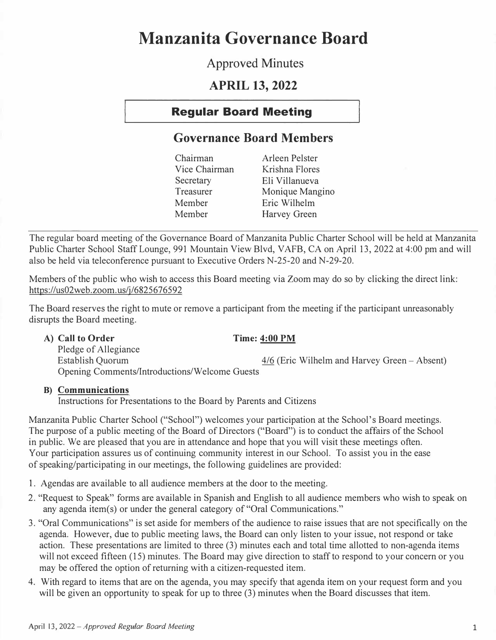# **Manzanita Governance Board**

## **Approved Minutes**

## **APRIL 13, 2022**

## **Regular Board Meeting**

## **Governance Board Members**

| Monique Mangino |
|-----------------|
|                 |
|                 |
|                 |

The regular board meeting of the Governance Board of Manzanita Public Charter School will be held at Manzanita Public Charter School Staff Lounge, 991 Mountain View Blvd, VAFB, CA on April 13, 2022 at 4:00 pm and will also be held via teleconference pursuant to Executive Orders N-25-20 and N-29-20.

Members of the public who wish to access this Board meeting via Zoom may do so by clicking the direct link: https://us02web.zoom.us/j/6825676592

The Board reserves the right to mute or remove a participant from the meeting if the participant unreasonably disrupts the Board meeting.

## **A) Call to Order Time: 4:00 PM**

Pledge of Allegiance  $4/6$  (Eric Wilhelm and Harvey Green - Absent) Opening Comments/Introductions/Welcome Guests

## **B) Communications**

Instructions for Presentations to the Board by Parents and Citizens

Manzanita Public Charter School ("School") welcomes your participation at the School's Board meetings. The purpose of a public meeting of the Board of Directors ("Board") is to conduct the affairs of the School in public. We are pleased that you are in attendance and hope that you will visit these meetings often. Your participation assures us of continuing community interest in our School. To assist you in the ease of speaking/participating in our meetings, the following guidelines are provided:

- 1. Agendas are available to all audience members at the door to the meeting.
- 2. "Request to Speak" forms are available in Spanish and English to all audience members who wish to speak on any agenda item(s) or under the general category of "Oral Communications."
- 3. "Oral Communications" is set aside for members of the audience to raise issues that are not specifically on the agenda. However, due to public meeting laws, the Board can only listen to your issue, not respond or take action. These presentations are limited to three (3) minutes each and total time allotted to non-agenda items will not exceed fifteen (15) minutes. The Board may give direction to staff to respond to your concern or you may be offered the option of returning with a citizen-requested item.
- 4. With regard to items that are on the agenda, you may specify that agenda item on your request form and you will be given an opportunity to speak for up to three (3) minutes when the Board discusses that item.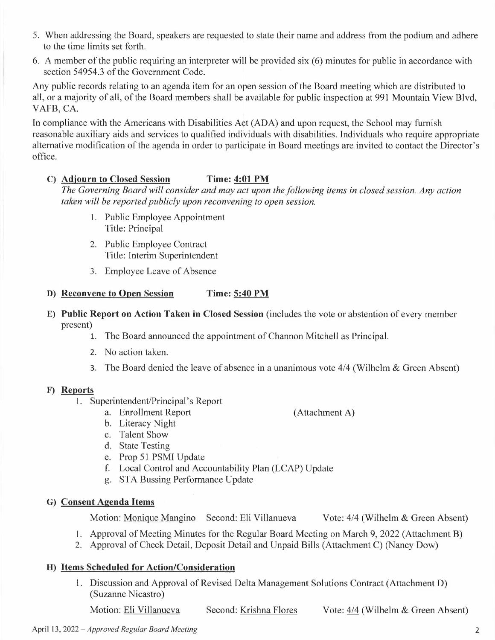- 5. When addressing the Board, speakers are requested to state their name and address from the podium and adhere to the time limits set forth.
- 6. A member of the public requiring an interpreter will be provided six (6) minutes for public in accordance with section 54954.3 of the Government Code.

Any public records relating to an agenda item for an open session of the Board meeting which are distributed to all, or a majority of all, of the Board members shall be available for public inspection at 991 Mountain View Blvd, VAFB, CA.

In compliance with the Americans with Disabilities Act (ADA) and upon request, the School may furnish reasonable auxiliary aids and services to qualified individuals with disabilities. Individuals who require appropriate alternative modification of the agenda in order to participate in Board meetings are invited to contact the Director's office.

#### **C) Adjourn to Closed Session Time: 4:01 PM**

*The Governing Board will consider and may act upon the following items in closed session. Any action taken will be reported publicly upon reconvening to open session.* 

- I. Public Employee Appointment Title: Principal
- 2. Public Employee Contract Title: Interim Superintendent
- 3. Employee Leave of Absence

## **D) Reconvene to Open Session Time: 5:40 PM**

- **E) Public Report on Action Taken in Closed Session** (includes the vote or abstention of every member present)
	- 1. The Board announced the appointment of Channon Mitchell as Principal.
	- 2. No action taken.
	- 3. The Board denied the leave of absence in a unanimous vote 4/4 (Wilhelm & Green Absent)

#### **F) Reports**

- I. Superintendent/Principal's Report
	- a. Enrollment Report (Attachment A)
	- b. Literacy Night
	- c. Talent Show
	- d. State Testing
	- e. Prop 51 PSMI Update
	- f. Local Control and Accountability Plan (LCAP) Update
	- g. STA Bussing Performance Update

## **G) Consent Agenda Items**

Motion: Monique Mangino Second: Eli Villanueva Vote: 4/4 (Wilhelm & Green Absent)

- I. Approval of Meeting Minutes for the Regular Board Meeting on March 9, 2022 (Attachment B)
- 2. Approval of Check Detail, Deposit Detail and Unpaid Bills (Attachment C) (Nancy Dow)

## **H) Items Scheduled for Action/Consideration**

1. Discussion and Approval of Revised Delta Management Solutions Contract (Attachment D) (Suzanne Nicastro)

Motion: Eli Villanueva Second: Krishna Flores Vote: 4/4 (Wilhelm & Green Absent)